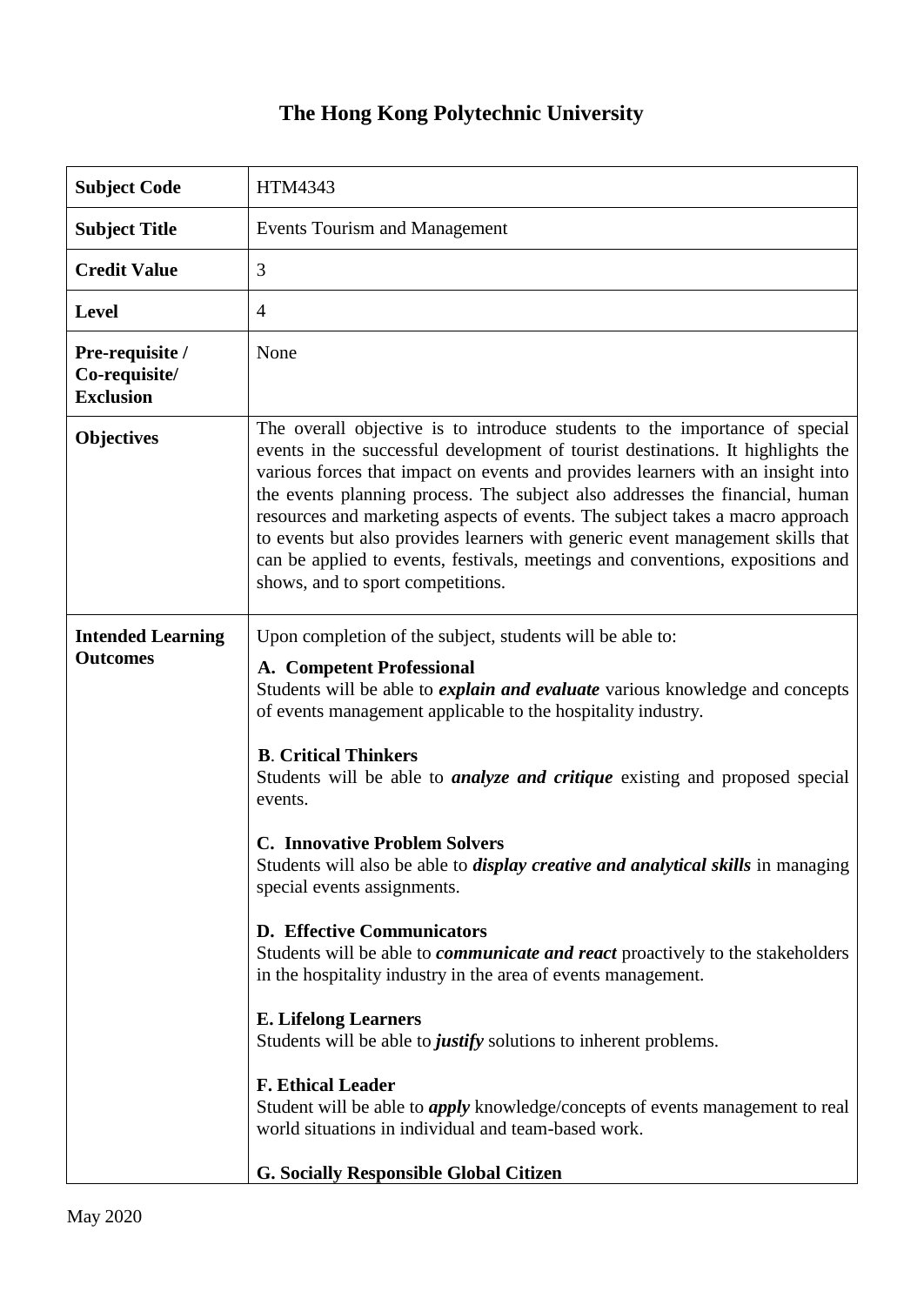## **The Hong Kong Polytechnic University**

| <b>Subject Code</b>                                  | HTM4343                                                                                                                                                                                                                                                                                                                                                                                                                                                                                                                                                                                                                                                                                                                                                                                                                                                                                                                                                                                                                                                                       |
|------------------------------------------------------|-------------------------------------------------------------------------------------------------------------------------------------------------------------------------------------------------------------------------------------------------------------------------------------------------------------------------------------------------------------------------------------------------------------------------------------------------------------------------------------------------------------------------------------------------------------------------------------------------------------------------------------------------------------------------------------------------------------------------------------------------------------------------------------------------------------------------------------------------------------------------------------------------------------------------------------------------------------------------------------------------------------------------------------------------------------------------------|
| <b>Subject Title</b>                                 | <b>Events Tourism and Management</b>                                                                                                                                                                                                                                                                                                                                                                                                                                                                                                                                                                                                                                                                                                                                                                                                                                                                                                                                                                                                                                          |
| <b>Credit Value</b>                                  | 3                                                                                                                                                                                                                                                                                                                                                                                                                                                                                                                                                                                                                                                                                                                                                                                                                                                                                                                                                                                                                                                                             |
| <b>Level</b>                                         | $\overline{4}$                                                                                                                                                                                                                                                                                                                                                                                                                                                                                                                                                                                                                                                                                                                                                                                                                                                                                                                                                                                                                                                                |
| Pre-requisite /<br>Co-requisite/<br><b>Exclusion</b> | None                                                                                                                                                                                                                                                                                                                                                                                                                                                                                                                                                                                                                                                                                                                                                                                                                                                                                                                                                                                                                                                                          |
| <b>Objectives</b>                                    | The overall objective is to introduce students to the importance of special<br>events in the successful development of tourist destinations. It highlights the<br>various forces that impact on events and provides learners with an insight into<br>the events planning process. The subject also addresses the financial, human<br>resources and marketing aspects of events. The subject takes a macro approach<br>to events but also provides learners with generic event management skills that<br>can be applied to events, festivals, meetings and conventions, expositions and<br>shows, and to sport competitions.                                                                                                                                                                                                                                                                                                                                                                                                                                                   |
| <b>Intended Learning</b><br><b>Outcomes</b>          | Upon completion of the subject, students will be able to:<br>A. Competent Professional<br>Students will be able to <i>explain and evaluate</i> various knowledge and concepts<br>of events management applicable to the hospitality industry.<br><b>B.</b> Critical Thinkers<br>Students will be able to <i>analyze and critique</i> existing and proposed special<br>events.<br><b>C. Innovative Problem Solvers</b><br>Students will also be able to <i>display creative and analytical skills</i> in managing<br>special events assignments.<br><b>D. Effective Communicators</b><br>Students will be able to <i>communicate and react</i> proactively to the stakeholders<br>in the hospitality industry in the area of events management.<br><b>E. Lifelong Learners</b><br>Students will be able to justify solutions to inherent problems.<br><b>F. Ethical Leader</b><br>Student will be able to <i>apply</i> knowledge/concepts of events management to real<br>world situations in individual and team-based work.<br><b>G. Socially Responsible Global Citizen</b> |